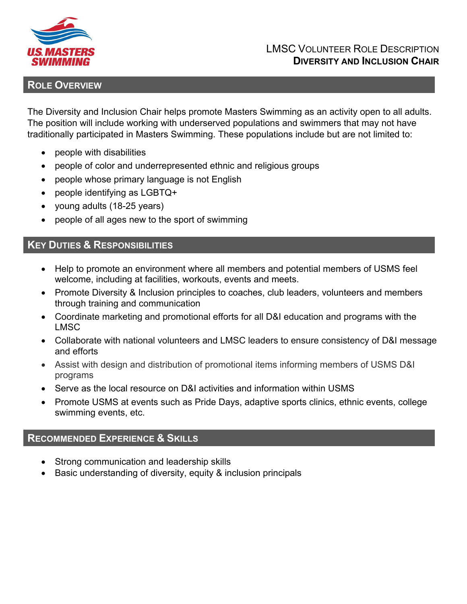

### LMSC VOLUNTEER ROLE DESCRIPTION **DIVERSITY AND INCLUSION CHAIR**

# **ROLE OVERVIEW**

The Diversity and Inclusion Chair helps promote Masters Swimming as an activity open to all adults. The position will include working with underserved populations and swimmers that may not have traditionally participated in Masters Swimming. These populations include but are not limited to:

- people with disabilities
- people of color and underrepresented ethnic and religious groups
- people whose primary language is not English
- people identifying as LGBTQ+
- young adults (18-25 years)
- people of all ages new to the sport of swimming

### **KEY DUTIES & RESPONSIBILITIES**

- Help to promote an environment where all members and potential members of USMS feel welcome, including at facilities, workouts, events and meets.
- Promote Diversity & Inclusion principles to coaches, club leaders, volunteers and members through training and communication
- Coordinate marketing and promotional efforts for all D&I education and programs with the LMSC
- Collaborate with national volunteers and LMSC leaders to ensure consistency of D&I message and efforts
- Assist with design and distribution of promotional items informing members of USMS D&I programs
- Serve as the local resource on D&I activities and information within USMS
- Promote USMS at events such as Pride Days, adaptive sports clinics, ethnic events, college swimming events, etc.

## **RECOMMENDED EXPERIENCE & SKILLS**

- Strong communication and leadership skills
- Basic understanding of diversity, equity & inclusion principals